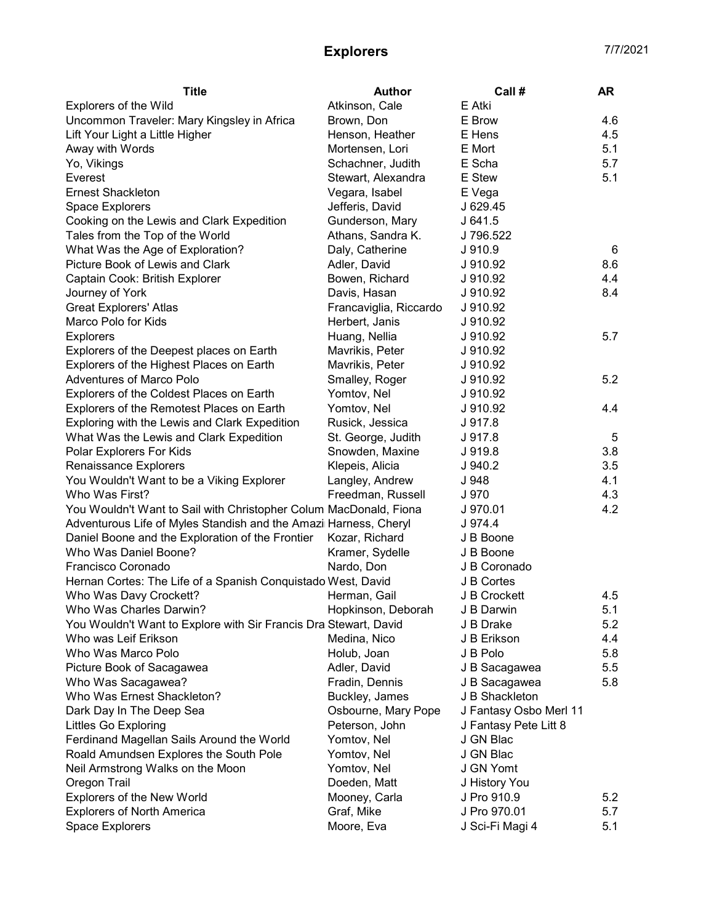## Explorers 7/7/2021

| <b>Title</b>                                                      | <b>Author</b>          | Call#                  | AR  |
|-------------------------------------------------------------------|------------------------|------------------------|-----|
| Explorers of the Wild                                             | Atkinson, Cale         | E Atki                 |     |
| Uncommon Traveler: Mary Kingsley in Africa                        | Brown, Don             | E Brow                 | 4.6 |
| Lift Your Light a Little Higher                                   | Henson, Heather        | E Hens                 | 4.5 |
| Away with Words                                                   | Mortensen, Lori        | E Mort                 | 5.1 |
| Yo, Vikings                                                       | Schachner, Judith      | E Scha                 | 5.7 |
| Everest                                                           | Stewart, Alexandra     | E Stew                 | 5.1 |
| <b>Ernest Shackleton</b>                                          | Vegara, Isabel         | E Vega                 |     |
| Space Explorers                                                   | Jefferis, David        | J 629.45               |     |
| Cooking on the Lewis and Clark Expedition                         | Gunderson, Mary        | J 641.5                |     |
| Tales from the Top of the World                                   | Athans, Sandra K.      | J 796.522              |     |
| What Was the Age of Exploration?                                  | Daly, Catherine        | J910.9                 | 6   |
| Picture Book of Lewis and Clark                                   | Adler, David           | J 910.92               | 8.6 |
| Captain Cook: British Explorer                                    | Bowen, Richard         | J 910.92               | 4.4 |
| Journey of York                                                   | Davis, Hasan           | J 910.92               | 8.4 |
| <b>Great Explorers' Atlas</b>                                     | Francaviglia, Riccardo | J 910.92               |     |
| Marco Polo for Kids                                               | Herbert, Janis         | J 910.92               |     |
| <b>Explorers</b>                                                  | Huang, Nellia          | J 910.92               | 5.7 |
| Explorers of the Deepest places on Earth                          | Mavrikis, Peter        | J 910.92               |     |
| Explorers of the Highest Places on Earth                          | Mavrikis, Peter        | J 910.92               |     |
| <b>Adventures of Marco Polo</b>                                   | Smalley, Roger         | J 910.92               | 5.2 |
| Explorers of the Coldest Places on Earth                          | Yomtov, Nel            | J 910.92               |     |
| Explorers of the Remotest Places on Earth                         | Yomtov, Nel            | J 910.92               | 4.4 |
| Exploring with the Lewis and Clark Expedition                     | Rusick, Jessica        | J 917.8                |     |
| What Was the Lewis and Clark Expedition                           | St. George, Judith     | J 917.8                | 5   |
| Polar Explorers For Kids                                          | Snowden, Maxine        | J 919.8                | 3.8 |
| Renaissance Explorers                                             | Klepeis, Alicia        | J 940.2                | 3.5 |
| You Wouldn't Want to be a Viking Explorer                         | Langley, Andrew        | J 948                  | 4.1 |
| Who Was First?                                                    | Freedman, Russell      | J 970                  | 4.3 |
| You Wouldn't Want to Sail with Christopher Colum MacDonald, Fiona |                        | J 970.01               | 4.2 |
| Adventurous Life of Myles Standish and the Amazi Harness, Cheryl  |                        | J 974.4                |     |
| Daniel Boone and the Exploration of the Frontier                  | Kozar, Richard         | J B Boone              |     |
| Who Was Daniel Boone?                                             | Kramer, Sydelle        | J B Boone              |     |
| Francisco Coronado                                                | Nardo, Don             | J B Coronado           |     |
| Hernan Cortes: The Life of a Spanish Conquistado West, David      |                        | J B Cortes             |     |
| Who Was Davy Crockett?                                            | Herman, Gail           | J B Crockett           | 4.5 |
| Who Was Charles Darwin?                                           | Hopkinson, Deborah     | J B Darwin             | 5.1 |
| You Wouldn't Want to Explore with Sir Francis Dra Stewart, David  |                        | J B Drake              | 5.2 |
| Who was Leif Erikson                                              | Medina, Nico           | J B Erikson            | 4.4 |
| Who Was Marco Polo                                                |                        |                        | 5.8 |
|                                                                   | Holub, Joan            | J B Polo               |     |
| Picture Book of Sacagawea                                         | Adler, David           | J B Sacagawea          | 5.5 |
| Who Was Sacagawea?                                                | Fradin, Dennis         | J B Sacagawea          | 5.8 |
| Who Was Ernest Shackleton?                                        | Buckley, James         | J B Shackleton         |     |
| Dark Day In The Deep Sea                                          | Osbourne, Mary Pope    | J Fantasy Osbo Merl 11 |     |
| <b>Littles Go Exploring</b>                                       | Peterson, John         | J Fantasy Pete Litt 8  |     |
| Ferdinand Magellan Sails Around the World                         | Yomtov, Nel            | J GN Blac              |     |
| Roald Amundsen Explores the South Pole                            | Yomtov, Nel            | J GN Blac              |     |
| Neil Armstrong Walks on the Moon                                  | Yomtov, Nel            | J GN Yomt              |     |
| Oregon Trail                                                      | Doeden, Matt           | J History You          |     |
| <b>Explorers of the New World</b>                                 | Mooney, Carla          | J Pro 910.9            | 5.2 |
| <b>Explorers of North America</b>                                 | Graf, Mike             | J Pro 970.01           | 5.7 |
| Space Explorers                                                   | Moore, Eva             | J Sci-Fi Magi 4        | 5.1 |